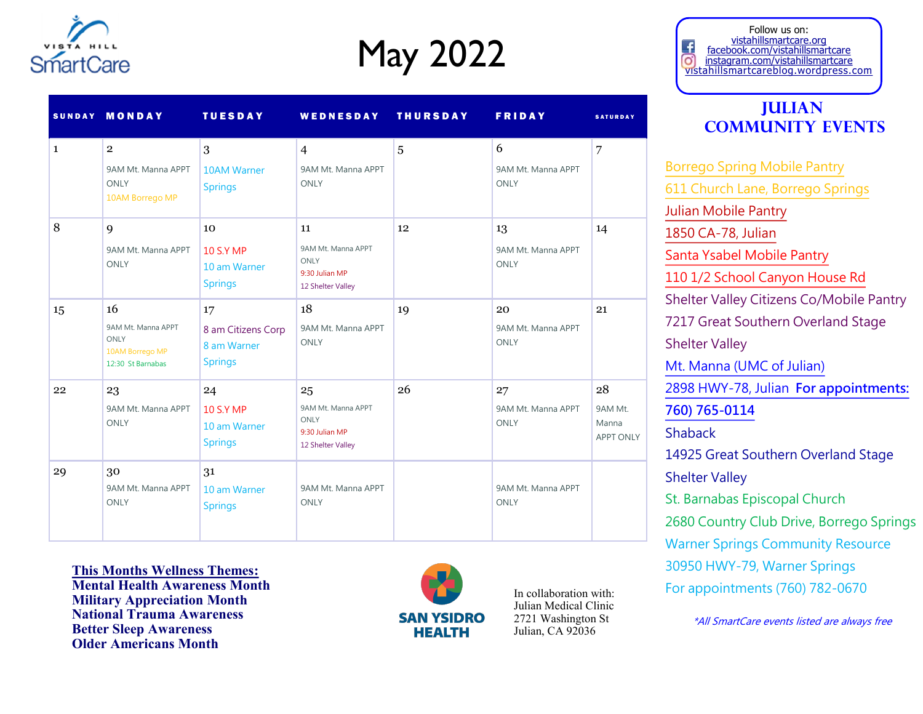

# May 2022

|              | SUNDAY MONDAY                                                            | <b>TUESDAY</b>                                            | WEDNESDAY                                                               | <b>THURSDAY</b> | <b>FRIDAY</b>                           | <b>SATURDAY</b>                            |
|--------------|--------------------------------------------------------------------------|-----------------------------------------------------------|-------------------------------------------------------------------------|-----------------|-----------------------------------------|--------------------------------------------|
| $\mathbf{1}$ | $\overline{2}$<br>9AM Mt. Manna APPT<br><b>ONLY</b><br>10AM Borrego MP   | 3<br><b>10AM Warner</b><br><b>Springs</b>                 | $\overline{4}$<br>9AM Mt. Manna APPT<br><b>ONLY</b>                     | 5               | 6<br>9AM Mt. Manna APPT<br><b>ONLY</b>  | 7                                          |
| 8            | 9<br>9AM Mt. Manna APPT<br><b>ONLY</b>                                   | 10<br><b>10 S.Y MP</b><br>10 am Warner<br><b>Springs</b>  | 11<br>9AM Mt. Manna APPT<br>ONLY<br>9:30 Julian MP<br>12 Shelter Valley | 12              | 13<br>9AM Mt. Manna APPT<br><b>ONLY</b> | 14                                         |
| 15           | 16<br>9AM Mt. Manna APPT<br>ONLY<br>10AM Borrego MP<br>12:30 St Barnabas | 17<br>8 am Citizens Corp<br>8 am Warner<br><b>Springs</b> | 18<br>9AM Mt. Manna APPT<br><b>ONLY</b>                                 | 19              | 20<br>9AM Mt. Manna APPT<br><b>ONLY</b> | 21                                         |
| 22           | 23<br>9AM Mt. Manna APPT<br><b>ONLY</b>                                  | 24<br><b>10 S.Y MP</b><br>10 am Warner<br><b>Springs</b>  | 25<br>9AM Mt. Manna APPT<br>ONLY<br>9:30 Julian MP<br>12 Shelter Valley | 26              | 27<br>9AM Mt. Manna APPT<br><b>ONLY</b> | 28<br>9AM Mt.<br>Manna<br><b>APPT ONLY</b> |
| 29           | 30<br>9AM Mt. Manna APPT<br><b>ONLY</b>                                  | 31<br>10 am Warner<br><b>Springs</b>                      | 9AM Mt. Manna APPT<br><b>ONLY</b>                                       |                 | 9AM Mt. Manna APPT<br><b>ONLY</b>       |                                            |

**This Months Wellness Themes: Mental Health Awareness Month Military Appreciation Month National Trauma Awareness Better Sleep Awareness Older Americans Month**



In collaboration with: Julian Medical Clinic 2721 Washington St Julian, CA 92036

Follow us on: vistahillsmartcare.org facebook.com/vistahillsmartcare o) instagram.com/vistahillsmartcare vistahillsmartcareblog.wordpress.com

### **Julian Community Events**

[Borrego Spring Mobile Pantry](https://sandiego.networkofcare.org/mh/services/agency.aspx?pid=FeedingSanDiegoMobilePantryBorregoSprings_61_2_0) [611 Church Lane, Borrego Springs](https://sandiego.networkofcare.org/mh/services/agency.aspx?pid=FeedingSanDiegoMobilePantryBorregoSprings_61_2_0) [Julian Mobile Pantry](https://sandiego.networkofcare.org/mh/services/agency.aspx?pid=FeedingSanDiegoMobilePantryJulian_61_2_0)  [1850 CA-78, Julian](https://sandiego.networkofcare.org/mh/services/agency.aspx?pid=FeedingSanDiegoMobilePantryJulian_61_2_0) [Santa Ysabel Mobile Pantry](https://feedingsandiego.org/find-food/) [110 1/2 School Canyon House Rd](https://feedingsandiego.org/find-food/) Shelter Valley Citizens Co/Mobile Pantry 7217 Great Southern Overland Stage Shelter Valley [Mt. Manna \(UMC of Julian\)](https://sandiego.networkofcare.org/mh/services/agency.aspx?pid=MountainMannaFoodPantryCommunityUnitedMethodistChurchofJulian_61_2_0) [2898 HWY-78, Julian](https://sandiego.networkofcare.org/mh/services/agency.aspx?pid=MountainMannaFoodPantryCommunityUnitedMethodistChurchofJulian_61_2_0) **For appointments: [760\) 765-0114](https://sandiego.networkofcare.org/mh/services/agency.aspx?pid=MountainMannaFoodPantryCommunityUnitedMethodistChurchofJulian_61_2_0)** Shaback 14925 Great Southern Overland Stage Shelter Valley St. Barnabas Episcopal Church 2680 Country Club Drive, Borrego Springs Warner Springs Community Resource 30950 HWY-79, Warner Springs For appointments (760) 782-0670

\*All SmartCare events listed are always free